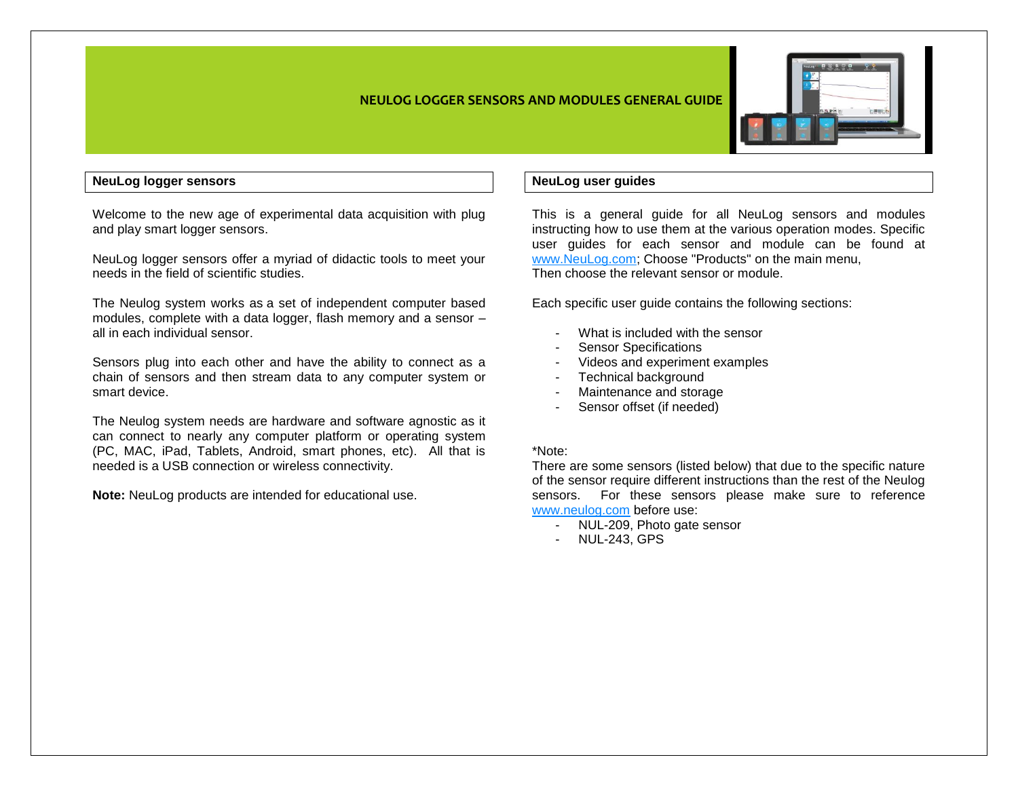

## **NeuLog logger sensors**

Welcome to the new age of experimental data acquisition with plug and play smart logger sensors.

NeuLog logger sensors offer a myriad of didactic tools to meet your needs in the field of scientific studies.

The Neulog system works as a set of independent computer based modules, complete with a data logger, flash memory and a sensor – all in each individual sensor.

Sensors plug into each other and have the ability to connect as a chain of sensors and then stream data to any computer system or smart device.

The Neulog system needs are hardware and software agnostic as it can connect to nearly any computer platform or operating system (PC, MAC, iPad, Tablets, Android, smart phones, etc). All that is needed is a USB connection or wireless connectivity.

**Note:** NeuLog products are intended for educational use.

# **NeuLog user guides**

This is a general guide for all NeuLog sensors and modules instructing how to use them at the various operation modes. Specific user guides for each sensor and module can be found at [www.NeuLog.com;](http://www.neulog.com/) Choose "Products" on the main menu, Then choose the relevant sensor or module.

Each specific user guide contains the following sections:

- What is included with the sensor
- Sensor Specifications
- Videos and experiment examples
- Technical background
- Maintenance and storage
- Sensor offset (if needed)

#### \*Note:

There are some sensors (listed below) that due to the specific nature of the sensor require different instructions than the rest of the Neulog sensors. For these sensors please make sure to reference [www.neulog.com](http://www.neulog.com/) before use:

- NUL-209, Photo gate sensor
- NUL-243, GPS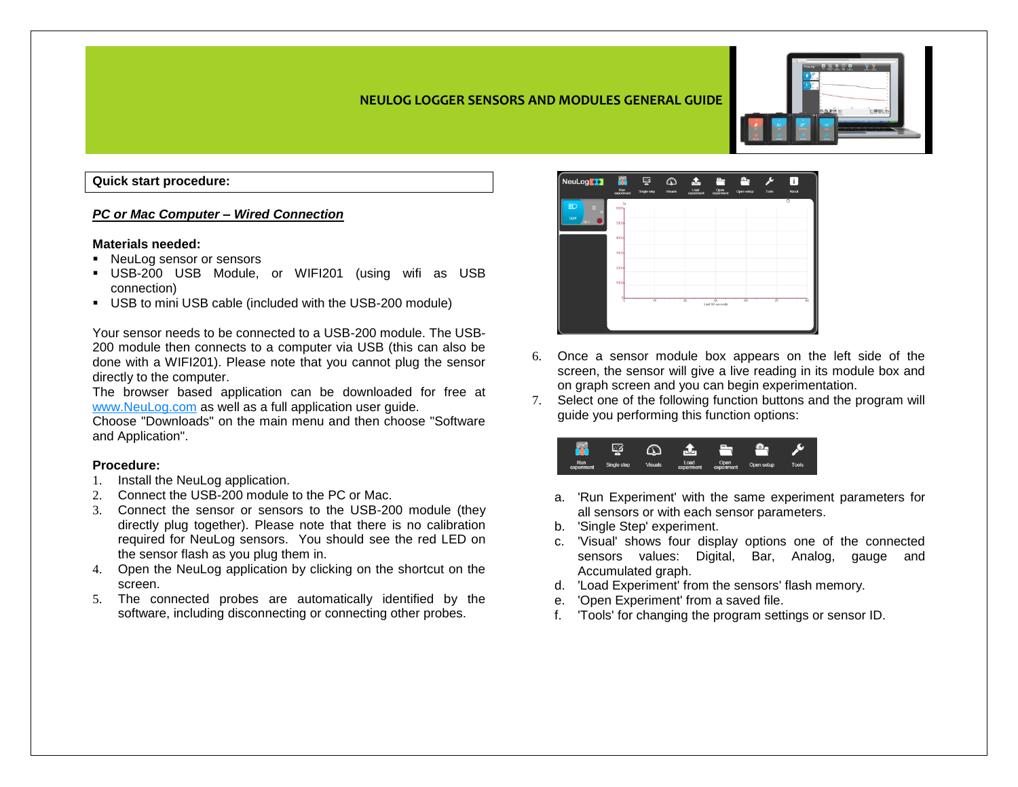## **Quick start procedure:**

#### *PC or Mac Computer – Wired Connection*

#### **Materials needed:**

- NeuLog sensor or sensors
- USB-200 USB Module, or WIFI201 (using wifi as USB connection)
- USB to mini USB cable (included with the USB-200 module)

Your sensor needs to be connected to a USB-200 module. The USB-200 module then connects to a computer via USB (this can also be done with a WIFI201). Please note that you cannot plug the sensor directly to the computer.

The browser based application can be downloaded for free at [www.NeuLog.com](http://www.neulog.com/) as well as a full application user guide.

Choose "Downloads" on the main menu and then choose "Software and Application".

#### **Procedure:**

- 1. Install the NeuLog application.
- 2. Connect the USB-200 module to the PC or Mac.
- 3. Connect the sensor or sensors to the USB-200 module (they directly plug together). Please note that there is no calibration required for NeuLog sensors. You should see the red LED on the sensor flash as you plug them in.
- 4. Open the NeuLog application by clicking on the shortcut on the screen.
- 5. The connected probes are automatically identified by the software, including disconnecting or connecting other probes.



- 6. Once a sensor module box appears on the left side of the screen, the sensor will give a live reading in its module box and on graph screen and you can begin experimentation.
- 7. Select one of the following function buttons and the program will guide you performing this function options:

|                   |             |                |                    | =                  |            |              |
|-------------------|-------------|----------------|--------------------|--------------------|------------|--------------|
| Run<br>experiment | Single step | <b>Visuals</b> | Load<br>experiment | Open<br>experiment | Open setup | <b>Tools</b> |

- a. 'Run Experiment' with the same experiment parameters for all sensors or with each sensor parameters.
- b. 'Single Step' experiment.
- c. 'Visual' shows four display options one of the connected sensors values: Digital, Bar, Analog, gauge and Accumulated graph.
- d. 'Load Experiment' from the sensors' flash memory.
- e. 'Open Experiment' from a saved file.
- f. 'Tools' for changing the program settings or sensor ID.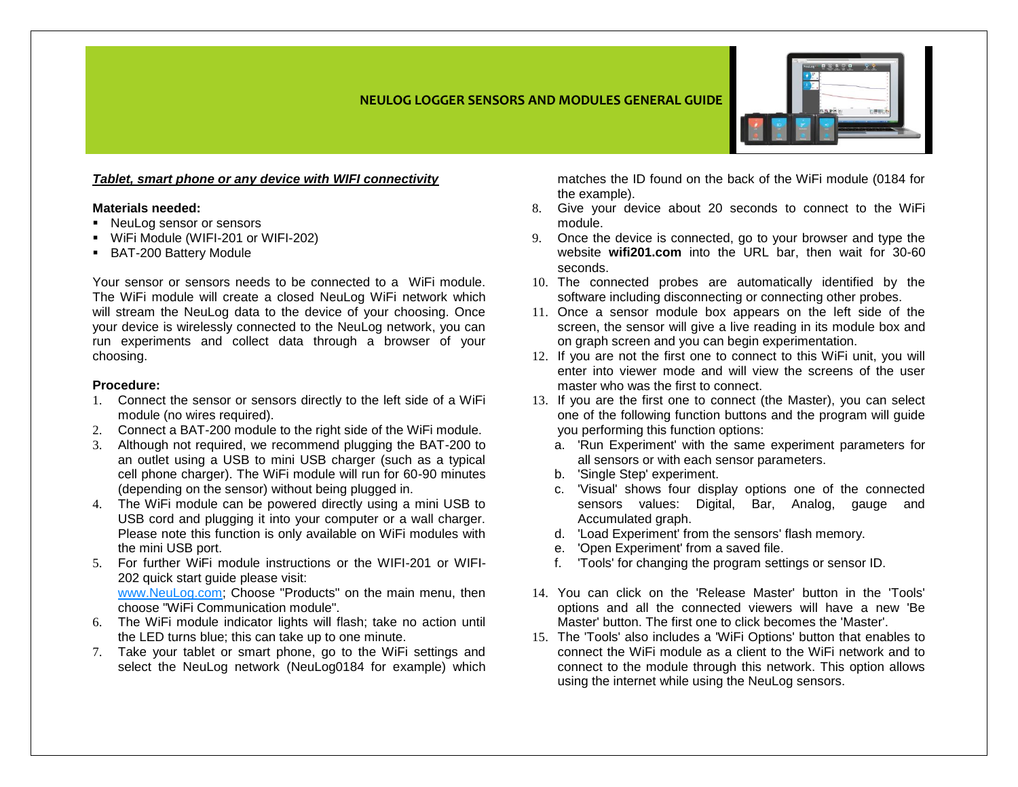

*Tablet, smart phone or any device with WIFI connectivity*

## **Materials needed:**

- NeuLog sensor or sensors
- WiFi Module (WIFI-201 or WIFI-202)
- BAT-200 Battery Module

Your sensor or sensors needs to be connected to a WiFi module. The WiFi module will create a closed NeuLog WiFi network which will stream the NeuLog data to the device of your choosing. Once your device is wirelessly connected to the NeuLog network, you can run experiments and collect data through a browser of your choosing.

## **Procedure:**

- 1. Connect the sensor or sensors directly to the left side of a WiFi module (no wires required).
- 2. Connect a BAT-200 module to the right side of the WiFi module.
- 3. Although not required, we recommend plugging the BAT-200 to an outlet using a USB to mini USB charger (such as a typical cell phone charger). The WiFi module will run for 60-90 minutes (depending on the sensor) without being plugged in.
- 4. The WiFi module can be powered directly using a mini USB to USB cord and plugging it into your computer or a wall charger. Please note this function is only available on WiFi modules with the mini USB port.
- 5. For further WiFi module instructions or the WIFI-201 or WIFI-202 quick start guide please visit:

[www.NeuLog.com;](http://www.neulog.com/) Choose "Products" on the main menu, then choose "WiFi Communication module".

- 6. The WiFi module indicator lights will flash; take no action until the LED turns blue; this can take up to one minute.
- 7. Take your tablet or smart phone, go to the WiFi settings and select the NeuLog network (NeuLog0184 for example) which

matches the ID found on the back of the WiFi module (0184 for the example).

- 8. Give your device about 20 seconds to connect to the WiFi module.
- 9. Once the device is connected, go to your browser and type the website **wifi201.com** into the URL bar, then wait for 30-60 seconds.
- 10. The connected probes are automatically identified by the software including disconnecting or connecting other probes.
- 11. Once a sensor module box appears on the left side of the screen, the sensor will give a live reading in its module box and on graph screen and you can begin experimentation.
- 12. If you are not the first one to connect to this WiFi unit, you will enter into viewer mode and will view the screens of the user master who was the first to connect.
- 13. If you are the first one to connect (the Master), you can select one of the following function buttons and the program will guide you performing this function options:
	- a. 'Run Experiment' with the same experiment parameters for all sensors or with each sensor parameters.
	- b. 'Single Step' experiment.
	- c. 'Visual' shows four display options one of the connected sensors values: Digital, Bar, Analog, gauge and Accumulated graph.
	- d. 'Load Experiment' from the sensors' flash memory.
	- e. 'Open Experiment' from a saved file.
	- f. 'Tools' for changing the program settings or sensor ID.
- 14. You can click on the 'Release Master' button in the 'Tools' options and all the connected viewers will have a new 'Be Master' button. The first one to click becomes the 'Master'.
- 15. The 'Tools' also includes a 'WiFi Options' button that enables to connect the WiFi module as a client to the WiFi network and to connect to the module through this network. This option allows using the internet while using the NeuLog sensors.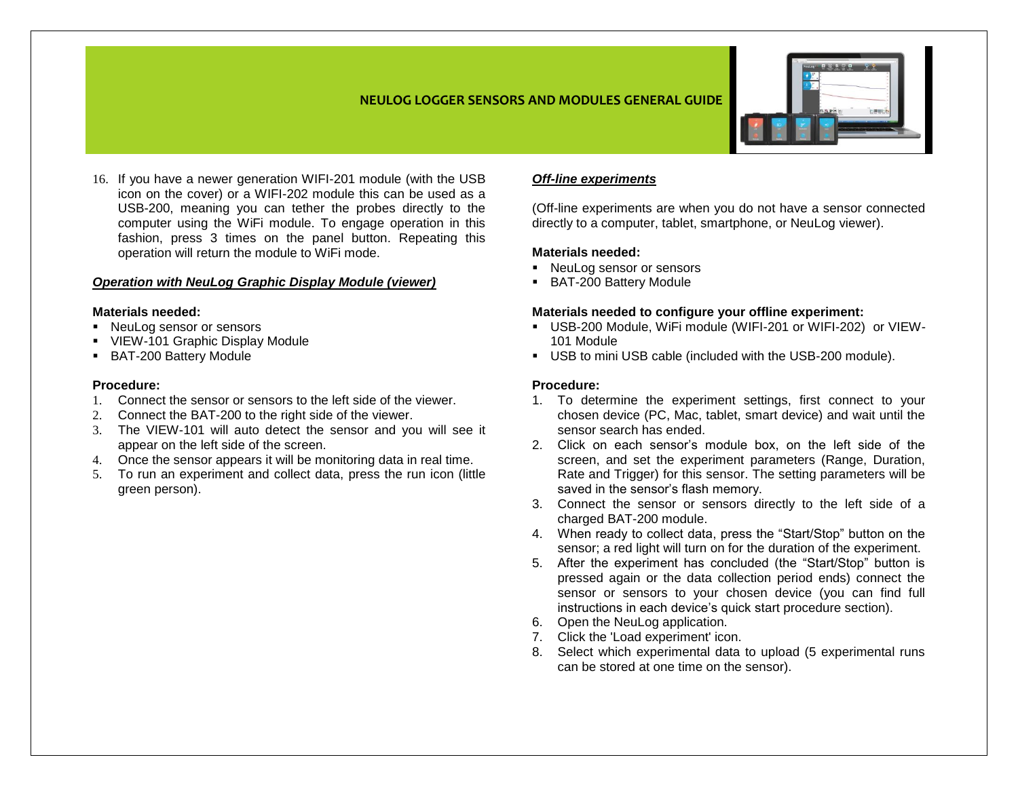

16. If you have a newer generation WIFI-201 module (with the USB icon on the cover) or a WIFI-202 module this can be used as a USB-200, meaning you can tether the probes directly to the computer using the WiFi module. To engage operation in this fashion, press 3 times on the panel button. Repeating this operation will return the module to WiFi mode.

## *Operation with NeuLog Graphic Display Module (viewer)*

#### **Materials needed:**

- NeuLog sensor or sensors
- VIEW-101 Graphic Display Module
- **BAT-200 Battery Module**

## **Procedure:**

- 1. Connect the sensor or sensors to the left side of the viewer.
- 2. Connect the BAT-200 to the right side of the viewer.
- 3. The VIEW-101 will auto detect the sensor and you will see it appear on the left side of the screen.
- 4. Once the sensor appears it will be monitoring data in real time.
- 5. To run an experiment and collect data, press the run icon (little green person).

# *Off-line experiments*

(Off-line experiments are when you do not have a sensor connected directly to a computer, tablet, smartphone, or NeuLog viewer).

## **Materials needed:**

- **NeuLog sensor or sensors**
- BAT-200 Battery Module

#### **Materials needed to configure your offline experiment:**

- USB-200 Module, WiFi module (WIFI-201 or WIFI-202) or VIEW-101 Module
- USB to mini USB cable (included with the USB-200 module).

## **Procedure:**

- 1. To determine the experiment settings, first connect to your chosen device (PC, Mac, tablet, smart device) and wait until the sensor search has ended.
- 2. Click on each sensor's module box, on the left side of the screen, and set the experiment parameters (Range, Duration, Rate and Trigger) for this sensor. The setting parameters will be saved in the sensor's flash memory.
- 3. Connect the sensor or sensors directly to the left side of a charged BAT-200 module.
- 4. When ready to collect data, press the "Start/Stop" button on the sensor; a red light will turn on for the duration of the experiment.
- 5. After the experiment has concluded (the "Start/Stop" button is pressed again or the data collection period ends) connect the sensor or sensors to your chosen device (you can find full instructions in each device's quick start procedure section).
- 6. Open the NeuLog application.
- 7. Click the 'Load experiment' icon.
- 8. Select which experimental data to upload (5 experimental runs can be stored at one time on the sensor).